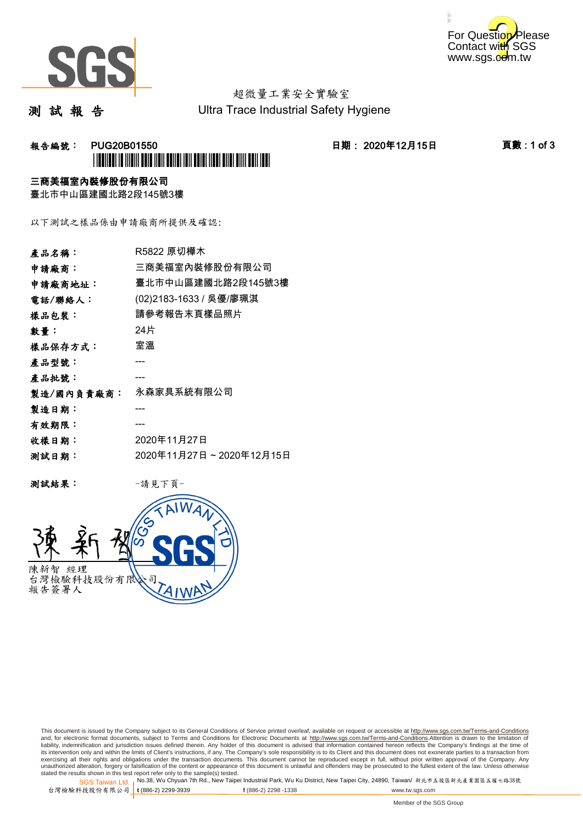



# 超微量工業安全實驗室

測 試 報 告

Ultra Trace Industrial Safety Hygiene

## **報告編號: PUG20B01550 日期: 2020年12月15日 頁數:1 of 3** \*PUG20B01550\*

### 三商美福室內裝修股份有限公司

臺北市中山區建國北路2段145號3樓

以下測試之樣品係由申請廠商所提供及確認:

| 產品名稱:      | R5822 原切樺木              |
|------------|-------------------------|
| 申請廠商:      | 三商美福室內裝修股份有限公司          |
| 申請廠商地址:    | 臺北市中山區建國北路2段145號3樓      |
| 電話/聯絡人:    | (02)2183-1633 / 吳優/廖珮淇  |
| 樣品包裝:      | 請參考報告末頁樣品照片             |
| 數量:        | 24片                     |
| 樣品保存方式:    | 室溫                      |
| 產品型號:      |                         |
| 產品批號:      |                         |
| 製造/國內負責廠商: | 永森家具系統有限公司              |
| 製造日期:      |                         |
| 有效期限:      |                         |
| 收樣日期:      | 2020年11月27日             |
| 测試日期:      | 2020年11月27日~2020年12月15日 |
|            |                         |

测試結果: 一請見下頁



This document is issued by the Company subject to its General Conditions of Service printed overleaf, available on request or accessible at http://www.sgs.com.tw/Terms-and-Conditions and, for electronic format documents, subject to Terms and Conditions for Electronic Documents at <u>http://www.sgs.com.tw/Terms-and-Conditions</u>.Attention is drawn to the limitation of<br>liability, indemnification and jurisdic exercising all their rights and obligations under the transaction documents. This document cannot be reproduced except in full, without prior written approval of the Company. Any<br>unauthorized alteration, forgery or falsifi

SGS Taiwan Ltd. 1 stated the results shown in this test report refer only to the sample(s) tested.<br>Stated the results shown in this test report refer only to the sample(s) tested.

台灣檢驗科技股份有限公司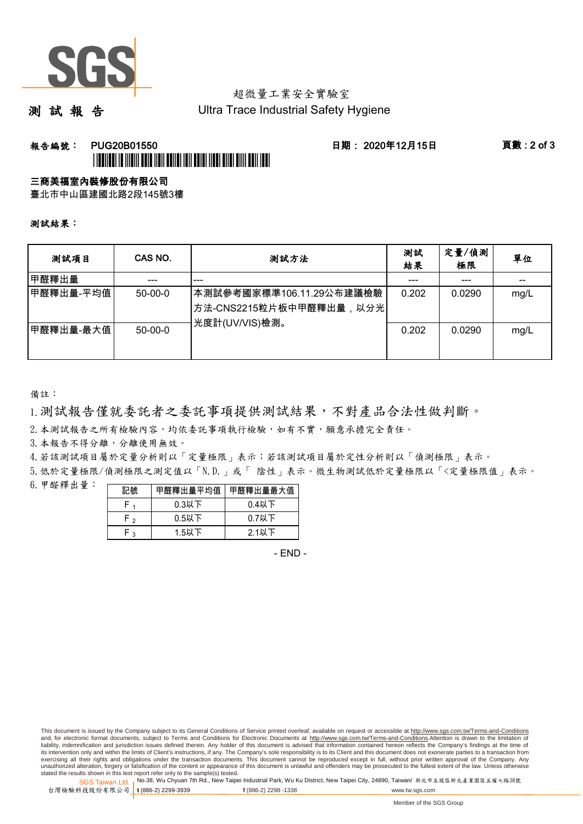

## 超微量工業安全實驗室

測 試 報 告

Ultra Trace Industrial Safety Hygiene

### **報告編號: PUG20B01550 日期: 2020年12月15日 頁數:2 of 3** \*PUBLICATION IN INTERFERIENCE IN A SERVICE IN THE REAL PROPERTY AND

#### 三商美福室內裝修股份有限公司

臺北市中山區建國北路2段145號3樓

測試結果:

| 测試項目      | CAS NO.   | 測試方法                                                                                | 測試<br>結果 | 定量/偵測<br>極限 | 單位   |
|-----------|-----------|-------------------------------------------------------------------------------------|----------|-------------|------|
| 甲醛釋出量     |           | ---                                                                                 |          |             |      |
| 甲醛釋出量-平均值 | $50-00-0$ | 本測試參考國家標準106.11.29公布建議檢驗<br><sup> </sup> 方法-CNS2215粒片板中甲醛釋出量,以分光 <br>光度計(UV/VIS)檢測。 | 0.202    | 0.0290      | mg/L |
| 甲醛釋出量-最大值 | $50-00-0$ |                                                                                     | 0.202    | 0.0290      | mg/L |

備註:

1.測試報告僅就委託者之委託事項提供測試結果,不對產品合法性做判斷。

2.本測試報告之所有檢驗內容,均依委託事項執行檢驗,如有不實,願意承擔完全責任。

3. 本報告不得分離,分離使用無效。

4.若該測試項目屬於定量分析則以「定量極限」表示;若該測試項目屬於定性分析則以「偵測極限」表示。

5.低於定量極限/偵測極限之測定值以「N.D.」或「 陰性」表示。微生物測試低於定量極限以「<定量極限值」表示。

6.甲醛釋出量:

|     |          | 甲醛釋出量平均值丨甲醛釋出量最大值 |  |  |
|-----|----------|-------------------|--|--|
|     | $0.3$ 以下 | $0.4$ 以下          |  |  |
| ົ່າ | $0.5$ 以下 | $0.7$ 以下          |  |  |
| ົ   | $1.5$ 以下 | $2.1$ 以下          |  |  |

- END -

This document is issued by the Company subject to its General Conditions of Service printed overleaf, available on request or accessible at http://www.sgs.com.tw/Terms-and-Conditions and, for electronic format documents, subject to Terms and Conditions for Electronic Documents at http://www.sgs.com.tw/Terms-and-Conditions.Attention is drawn to the limitation of liability, indemnification and jurisdiction issues defined therein. Any holder of this document is advised that information contained hereon reflects the Company's findings at the time of<br>its intervention only and within t exercising all their rights and obligations under the transaction documents. This document cannot be reproduced except in full, without prior written approval of the Company. Any<br>unauthorized alteration, forgery or falsifi

SGS Taiwan Ltd. 1 stated the results shown in this test report refer only to the sample(s) tested.<br>Stated the results shown in this test report refer only to the sample(s) tested.

台灣檢驗科技股份有限公司

**t** (886-2) 2299-3939 **f** (886-2) 2298 -1338 www.tw.sgs.com